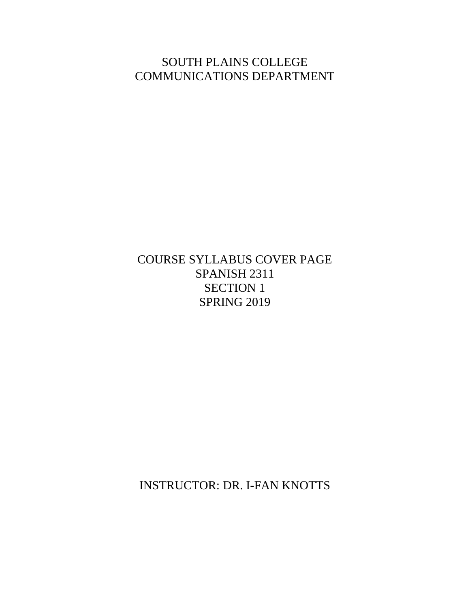SOUTH PLAINS COLLEGE COMMUNICATIONS DEPARTMENT

COURSE SYLLABUS COVER PAGE SPANISH 2311 SECTION 1 SPRING 2019

INSTRUCTOR: DR. I-FAN KNOTTS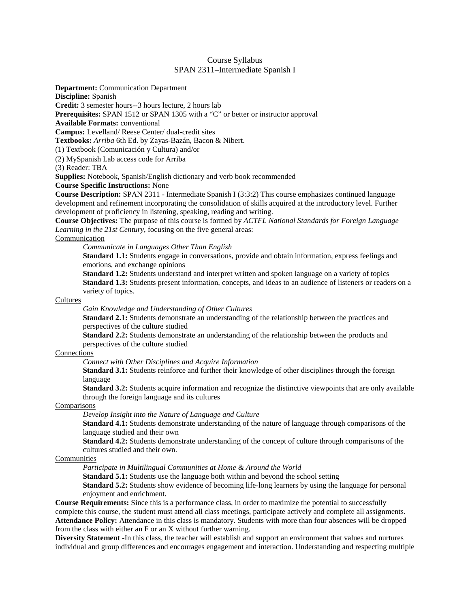### Course Syllabus SPAN 2311–Intermediate Spanish I

**Department:** Communication Department

**Discipline:** Spanish

**Credit:** 3 semester hours--3 hours lecture, 2 hours lab

**Prerequisites:** SPAN 1512 or SPAN 1305 with a "C" or better or instructor approval

**Available Formats:** conventional

**Campus:** Levelland/ Reese Center/ dual-credit sites

**Textbooks:** *Arriba* 6th Ed. by Zayas-Bazán, Bacon & Nibert.

(1) Textbook (Comunicación y Cultura) and/or

(2) MySpanish Lab access code for Arriba

(3) Reader: TBA

**Supplies:** Notebook, Spanish/English dictionary and verb book recommended

**Course Specific Instructions:** None

**Course Description:** SPAN 2311 - Intermediate Spanish I (3:3:2) This course emphasizes continued language development and refinement incorporating the consolidation of skills acquired at the introductory level. Further development of proficiency in listening, speaking, reading and writing.

**Course Objectives:** The purpose of this course is formed by *ACTFL National Standards for Foreign Language Learning in the 21st Century*, focusing on the five general areas:

### Communication

*Communicate in Languages Other Than English* 

**Standard 1.1:** Students engage in conversations, provide and obtain information, express feelings and emotions, and exchange opinions

**Standard 1.2:** Students understand and interpret written and spoken language on a variety of topics **Standard 1.3:** Students present information, concepts, and ideas to an audience of listeners or readers on a variety of topics.

#### **Cultures**

*Gain Knowledge and Understanding of Other Cultures* 

**Standard 2.1:** Students demonstrate an understanding of the relationship between the practices and perspectives of the culture studied

**Standard 2.2:** Students demonstrate an understanding of the relationship between the products and perspectives of the culture studied

#### Connections

*Connect with Other Disciplines and Acquire Information* 

**Standard 3.1:** Students reinforce and further their knowledge of other disciplines through the foreign language

**Standard 3.2:** Students acquire information and recognize the distinctive viewpoints that are only available through the foreign language and its cultures

#### Comparisons

*Develop Insight into the Nature of Language and Culture* 

**Standard 4.1:** Students demonstrate understanding of the nature of language through comparisons of the language studied and their own

**Standard 4.2:** Students demonstrate understanding of the concept of culture through comparisons of the cultures studied and their own.

#### Communities

*Participate in Multilingual Communities at Home & Around the World* 

**Standard 5.1:** Students use the language both within and beyond the school setting

**Standard 5.2:** Students show evidence of becoming life-long learners by using the language for personal enjoyment and enrichment.

**Course Requirements:** Since this is a performance class, in order to maximize the potential to successfully complete this course, the student must attend all class meetings, participate actively and complete all assignments. **Attendance Policy:** Attendance in this class is mandatory. Students with more than four absences will be dropped from the class with either an F or an X without further warning.

**Diversity Statement -**In this class, the teacher will establish and support an environment that values and nurtures individual and group differences and encourages engagement and interaction. Understanding and respecting multiple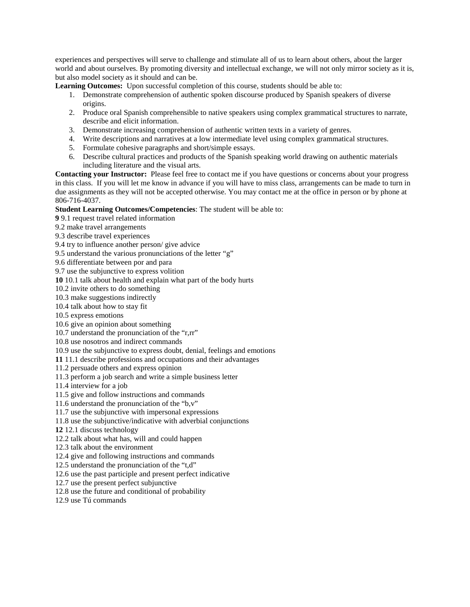experiences and perspectives will serve to challenge and stimulate all of us to learn about others, about the larger world and about ourselves. By promoting diversity and intellectual exchange, we will not only mirror society as it is, but also model society as it should and can be.

**Learning Outcomes:** Upon successful completion of this course, students should be able to:

- 1. Demonstrate comprehension of authentic spoken discourse produced by Spanish speakers of diverse origins.
- 2. Produce oral Spanish comprehensible to native speakers using complex grammatical structures to narrate, describe and elicit information.
- 3. Demonstrate increasing comprehension of authentic written texts in a variety of genres.
- 4. Write descriptions and narratives at a low intermediate level using complex grammatical structures.
- 5. Formulate cohesive paragraphs and short/simple essays.
- 6. Describe cultural practices and products of the Spanish speaking world drawing on authentic materials including literature and the visual arts.

**Contacting your Instructor:** Please feel free to contact me if you have questions or concerns about your progress in this class. If you will let me know in advance if you will have to miss class, arrangements can be made to turn in due assignments as they will not be accepted otherwise. You may contact me at the office in person or by phone at 806-716-4037.

#### **Student Learning Outcomes/Competencies**: The student will be able to:

**9** 9.1 request travel related information

- 9.2 make travel arrangements
- 9.3 describe travel experiences
- 9.4 try to influence another person/ give advice
- 9.5 understand the various pronunciations of the letter "g"
- 9.6 differentiate between por and para
- 9.7 use the subjunctive to express volition
- **10** 10.1 talk about health and explain what part of the body hurts
- 10.2 invite others to do something

10.3 make suggestions indirectly

- 10.4 talk about how to stay fit
- 10.5 express emotions
- 10.6 give an opinion about something
- 10.7 understand the pronunciation of the "r,rr"
- 10.8 use nosotros and indirect commands
- 10.9 use the subjunctive to express doubt, denial, feelings and emotions
- **11** 11.1 describe professions and occupations and their advantages
- 11.2 persuade others and express opinion
- 11.3 perform a job search and write a simple business letter
- 11.4 interview for a job
- 11.5 give and follow instructions and commands
- 11.6 understand the pronunciation of the "b,v"
- 11.7 use the subjunctive with impersonal expressions
- 11.8 use the subjunctive/indicative with adverbial conjunctions
- **12** 12.1 discuss technology
- 12.2 talk about what has, will and could happen
- 12.3 talk about the environment
- 12.4 give and following instructions and commands
- 12.5 understand the pronunciation of the "t,d"
- 12.6 use the past participle and present perfect indicative
- 12.7 use the present perfect subjunctive
- 12.8 use the future and conditional of probability
- 12.9 use Tú commands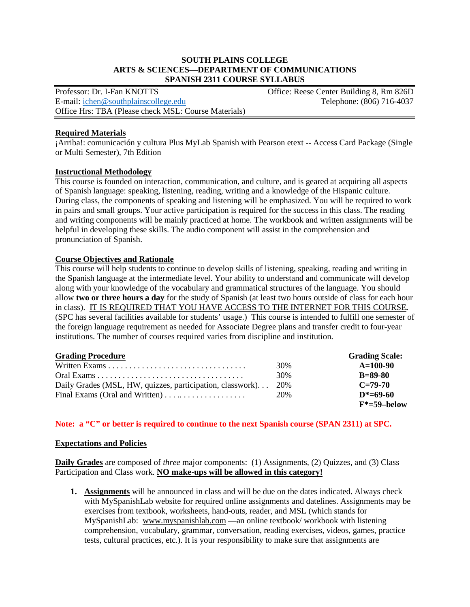### **SOUTH PLAINS COLLEGE ARTS & SCIENCES—DEPARTMENT OF COMMUNICATIONS SPANISH 2311 COURSE SYLLABUS**

Professor: Dr. I-Fan KNOTTS<br>
E-mail: ichen@southplainscollege.edu<br>
Telephone: (806) 716-4037 E-mail[: ichen@southplainscollege.edu](mailto:ichen@southplainscollege.edu) Office Hrs: TBA (Please check MSL: Course Materials)

## **Required Materials**

¡Arriba!: comunicación y cultura Plus MyLab Spanish with Pearson etext -- Access Card Package (Single or Multi Semester), 7th Edition

### **Instructional Methodology**

This course is founded on interaction, communication, and culture, and is geared at acquiring all aspects of Spanish language: speaking, listening, reading, writing and a knowledge of the Hispanic culture. During class, the components of speaking and listening will be emphasized. You will be required to work in pairs and small groups. Your active participation is required for the success in this class. The reading and writing components will be mainly practiced at home. The workbook and written assignments will be helpful in developing these skills. The audio component will assist in the comprehension and pronunciation of Spanish.

## **Course Objectives and Rationale**

This course will help students to continue to develop skills of listening, speaking, reading and writing in the Spanish language at the intermediate level. Your ability to understand and communicate will develop along with your knowledge of the vocabulary and grammatical structures of the language. You should allow **two or three hours a day** for the study of Spanish (at least two hours outside of class for each hour in class). IT IS REQUIRED THAT YOU HAVE ACCESS TO THE INTERNET FOR THIS COURSE*.* (SPC has several facilities available for students' usage.) This course is intended to fulfill one semester of the foreign language requirement as needed for Associate Degree plans and transfer credit to four-year institutions. The number of courses required varies from discipline and institution.

| <b>Grading Procedure</b>                                       |     | <b>Grading Scale:</b> |
|----------------------------------------------------------------|-----|-----------------------|
|                                                                | 30% | $A=100-90$            |
|                                                                | 30% | $B=89-80$             |
| Daily Grades (MSL, HW, quizzes, participation, classwork)      | 20% | $C = 79-70$           |
| Final Exams (Oral and Written) $\dots \dots \dots \dots \dots$ | 20% | $D^* = 69 - 60$       |
|                                                                |     | $F^* = 59$ -below     |

## **Note: a "C" or better is required to continue to the next Spanish course (SPAN 2311) at SPC.**

### **Expectations and Policies**

**Daily Grades** are composed of *three* major components: (1) Assignments, (2) Quizzes, and (3) Class Participation and Class work. **NO make-ups will be allowed in this category!**

**1. Assignments** will be announced in class and will be due on the dates indicated. Always check with MySpanishLab website for required online assignments and datelines. Assignments may be exercises from textbook, worksheets, hand-outs, reader, and MSL (which stands for MySpanishLab: [www.myspanishlab.com](http://www.myspanishlab.com/) —an online textbook/workbook with listening comprehension, vocabulary, grammar, conversation, reading exercises, videos, games, practice tests, cultural practices, etc.). It is your responsibility to make sure that assignments are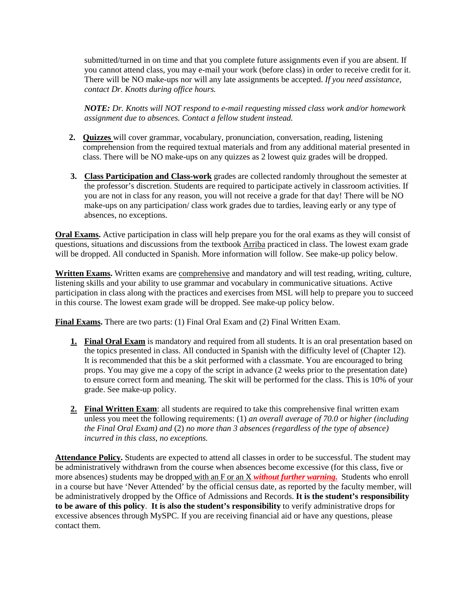submitted/turned in on time and that you complete future assignments even if you are absent. If you cannot attend class, you may e-mail your work (before class) in order to receive credit for it. There will be NO make-ups nor will any late assignments be accepted. *If you need assistance, contact Dr. Knotts during office hours.* 

*NOTE: Dr. Knotts will NOT respond to e-mail requesting missed class work and/or homework assignment due to absences. Contact a fellow student instead.* 

- **2. Quizzes** will cover grammar, vocabulary, pronunciation, conversation, reading, listening comprehension from the required textual materials and from any additional material presented in class. There will be NO make-ups on any quizzes as 2 lowest quiz grades will be dropped.
- **3. Class Participation and Class-work** grades are collected randomly throughout the semester at the professor's discretion. Students are required to participate actively in classroom activities. If you are not in class for any reason, you will not receive a grade for that day! There will be NO make-ups on any participation/ class work grades due to tardies, leaving early or any type of absences, no exceptions.

**Oral Exams.** Active participation in class will help prepare you for the oral exams as they will consist of questions, situations and discussions from the textbook Arriba practiced in class. The lowest exam grade will be dropped. All conducted in Spanish. More information will follow. See make-up policy below.

**Written Exams.** Written exams are comprehensive and mandatory and will test reading, writing, culture, listening skills and your ability to use grammar and vocabulary in communicative situations. Active participation in class along with the practices and exercises from MSL will help to prepare you to succeed in this course. The lowest exam grade will be dropped. See make-up policy below.

**Final Exams.** There are two parts: (1) Final Oral Exam and (2) Final Written Exam.

- **1. Final Oral Exam** is mandatory and required from all students. It is an oral presentation based on the topics presented in class. All conducted in Spanish with the difficulty level of (Chapter 12). It is recommended that this be a skit performed with a classmate. You are encouraged to bring props. You may give me a copy of the script in advance (2 weeks prior to the presentation date) to ensure correct form and meaning. The skit will be performed for the class. This is 10% of your grade. See make-up policy.
- **2. Final Written Exam**: all students are required to take this comprehensive final written exam unless you meet the following requirements: (1) *an overall average of 70.0 or higher (including the Final Oral Exam) and* (2) *no more than 3 absences (regardless of the type of absence) incurred in this class, no exceptions.*

**Attendance Policy.** Students are expected to attend all classes in order to be successful. The student may be administratively withdrawn from the course when absences become excessive (for this class, five or more absences) students may be dropped with an F or an X *without further warning***.** Students who enroll in a course but have 'Never Attended' by the official census date, as reported by the faculty member, will be administratively dropped by the Office of Admissions and Records. **It is the student's responsibility to be aware of this policy**. **It is also the student's responsibility** to verify administrative drops for excessive absences through MySPC. If you are receiving financial aid or have any questions, please contact them.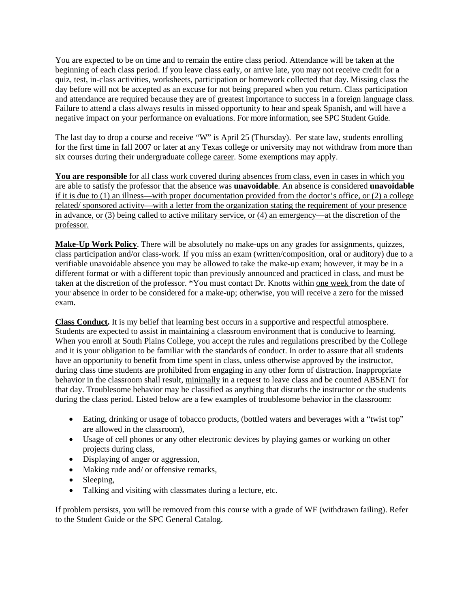You are expected to be on time and to remain the entire class period. Attendance will be taken at the beginning of each class period. If you leave class early, or arrive late, you may not receive credit for a quiz, test, in-class activities, worksheets, participation or homework collected that day. Missing class the day before will not be accepted as an excuse for not being prepared when you return. Class participation and attendance are required because they are of greatest importance to success in a foreign language class. Failure to attend a class always results in missed opportunity to hear and speak Spanish, and will have a negative impact on your performance on evaluations. For more information, see SPC Student Guide.

The last day to drop a course and receive "W" is April 25 (Thursday). Per state law, students enrolling for the first time in fall 2007 or later at any Texas college or university may not withdraw from more than six courses during their undergraduate college career. Some exemptions may apply.

**You are responsible** for all class work covered during absences from class, even in cases in which you are able to satisfy the professor that the absence was **unavoidable**. An absence is considered **unavoidable**  if it is due to (1) an illness—with proper documentation provided from the doctor's office, or (2) a college related/ sponsored activity—with a letter from the organization stating the requirement of your presence in advance, or (3) being called to active military service, or (4) an emergency—at the discretion of the professor.

**Make-Up Work Policy**. There will be absolutely no make-ups on any grades for assignments, quizzes, class participation and/or class-work. If you miss an exam (written/composition, oral or auditory) due to a verifiable unavoidable absence you may be allowed to take the make-up exam; however, it may be in a different format or with a different topic than previously announced and practiced in class, and must be taken at the discretion of the professor. \*You must contact Dr. Knotts within one week from the date of your absence in order to be considered for a make-up; otherwise, you will receive a zero for the missed exam.

**Class Conduct.** It is my belief that learning best occurs in a supportive and respectful atmosphere. Students are expected to assist in maintaining a classroom environment that is conducive to learning. When you enroll at South Plains College, you accept the rules and regulations prescribed by the College and it is your obligation to be familiar with the standards of conduct. In order to assure that all students have an opportunity to benefit from time spent in class, unless otherwise approved by the instructor, during class time students are prohibited from engaging in any other form of distraction. Inappropriate behavior in the classroom shall result, minimally in a request to leave class and be counted ABSENT for that day. Troublesome behavior may be classified as anything that disturbs the instructor or the students during the class period. Listed below are a few examples of troublesome behavior in the classroom:

- Eating, drinking or usage of tobacco products, (bottled waters and beverages with a "twist top" are allowed in the classroom),
- Usage of cell phones or any other electronic devices by playing games or working on other projects during class,
- Displaying of anger or aggression,
- Making rude and/ or offensive remarks.
- Sleeping,
- Talking and visiting with classmates during a lecture, etc.

If problem persists, you will be removed from this course with a grade of WF (withdrawn failing). Refer to the Student Guide or the SPC General Catalog.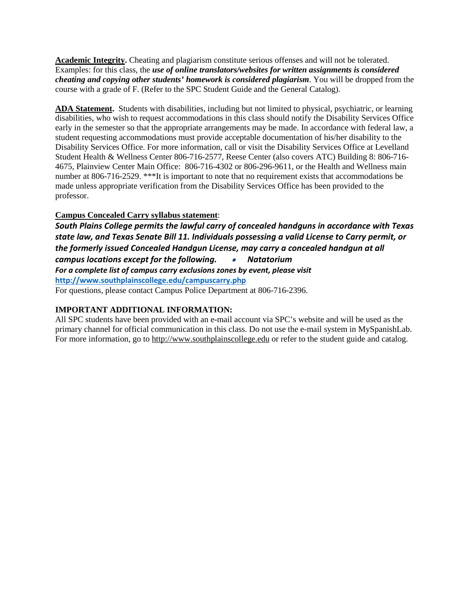**Academic Integrity.** Cheating and plagiarism constitute serious offenses and will not be tolerated. Examples: for this class, the *use of online translators/websites for written assignments is considered cheating and copying other students' homework is considered plagiarism*. You will be dropped from the course with a grade of F. (Refer to the SPC Student Guide and the General Catalog).

**ADA Statement.** Students with disabilities, including but not limited to physical, psychiatric, or learning disabilities, who wish to request accommodations in this class should notify the Disability Services Office early in the semester so that the appropriate arrangements may be made. In accordance with federal law, a student requesting accommodations must provide acceptable documentation of his/her disability to the Disability Services Office. For more information, call or visit the Disability Services Office at Levelland Student Health & Wellness Center 806-716-2577, Reese Center (also covers ATC) Building 8: 806-716- 4675, Plainview Center Main Office: 806-716-4302 or 806-296-9611, or the Health and Wellness main number at 806-716-2529. \*\*\*It is important to note that no requirement exists that accommodations be made unless appropriate verification from the Disability Services Office has been provided to the professor.

# **Campus Concealed Carry syllabus statement**:

*South Plains College permits the lawful carry of concealed handguns in accordance with Texas state law, and Texas Senate Bill 11. Individuals possessing a valid License to Carry permit, or the formerly issued Concealed Handgun License, may carry a concealed handgun at all campus locations except for the following.* • *Natatorium For a complete list of campus carry exclusions zones by event, please visit* **<http://www.southplainscollege.edu/campuscarry.php>** For questions, please contact Campus Police Department at 806-716-2396.

# **IMPORTANT ADDITIONAL INFORMATION:**

All SPC students have been provided with an e-mail account via SPC's website and will be used as the primary channel for official communication in this class. Do not use the e-mail system in MySpanishLab. For more information, go to [http://www.southplainscollege.edu](http://www.southplainscollege.edu/) or refer to the student guide and catalog.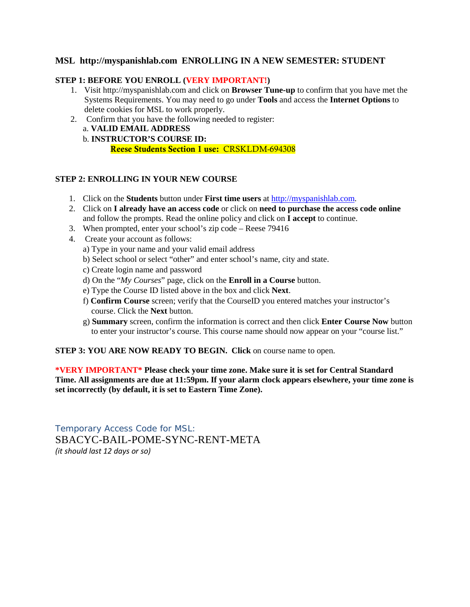# **MSL http://myspanishlab.com ENROLLING IN A NEW SEMESTER: STUDENT**

## **STEP 1: BEFORE YOU ENROLL (VERY IMPORTANT!)**

- 1. Visit http://myspanishlab.com and click on **Browser Tune-up** to confirm that you have met the Systems Requirements. You may need to go under **Tools** and access the **Internet Options** to delete cookies for MSL to work properly.
- 2. Confirm that you have the following needed to register: a. **VALID EMAIL ADDRESS**  b. **INSTRUCTOR'S COURSE ID:**

Reese Students Section 1 use: CRSKLDM-694308

## **STEP 2: ENROLLING IN YOUR NEW COURSE**

- 1. Click on the **Students** button under **First time users** at [http://myspanishlab.com.](http://myspanishlab.com/)
- 2. Click on **I already have an access code** or click on **need to purchase the access code online**  and follow the prompts. Read the online policy and click on **I accept** to continue.
- 3. When prompted, enter your school's zip code Reese 79416
- 4. Create your account as follows:
	- a) Type in your name and your valid email address
	- b) Select school or select "other" and enter school's name, city and state.
	- c) Create login name and password
	- d) On the "*My Courses*" page, click on the **Enroll in a Course** button.
	- e) Type the Course ID listed above in the box and click **Next**.
	- f) **Confirm Course** screen; verify that the CourseID you entered matches your instructor's course. Click the **Next** button.
	- g) **Summary** screen, confirm the information is correct and then click **Enter Course Now** button to enter your instructor's course. This course name should now appear on your "course list."

## **STEP 3: YOU ARE NOW READY TO BEGIN. Click** on course name to open.

**\*VERY IMPORTANT\* Please check your time zone. Make sure it is set for Central Standard Time. All assignments are due at 11:59pm. If your alarm clock appears elsewhere, your time zone is set incorrectly (by default, it is set to Eastern Time Zone).** 

Temporary Access Code for MSL: SBACYC-BAIL-POME-SYNC-RENT-META *(it should last 12 days or so)*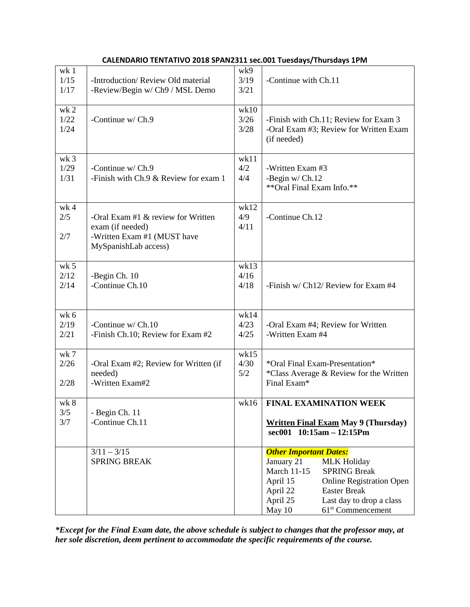# **CALENDARIO TENTATIVO 2018 SPAN2311 sec.001 Tuesdays/Thursdays 1PM**

| wk 1<br>1/15<br>1/17            | -Introduction/Review Old material<br>-Review/Begin w/ Ch9 / MSL Demo                                            | wk9<br>3/19<br>3/21  | -Continue with Ch.11                                                                                                                                                                                                                                                                |  |
|---------------------------------|-----------------------------------------------------------------------------------------------------------------|----------------------|-------------------------------------------------------------------------------------------------------------------------------------------------------------------------------------------------------------------------------------------------------------------------------------|--|
| wk 2<br>1/22<br>1/24            | -Continue w/ Ch.9                                                                                               | wk10<br>3/26<br>3/28 | -Finish with Ch.11; Review for Exam 3<br>-Oral Exam #3; Review for Written Exam<br>(if needed)                                                                                                                                                                                      |  |
| wk <sub>3</sub><br>1/29<br>1/31 | -Continue w/ Ch.9<br>-Finish with Ch.9 & Review for exam 1                                                      | wk11<br>4/2<br>4/4   | -Written Exam #3<br>-Begin $w/$ Ch.12<br>** Oral Final Exam Info.**                                                                                                                                                                                                                 |  |
| wk <sub>4</sub><br>2/5<br>2/7   | -Oral Exam #1 $&$ review for Written<br>exam (if needed)<br>-Written Exam #1 (MUST have<br>MySpanishLab access) | wk12<br>4/9<br>4/11  | -Continue Ch.12                                                                                                                                                                                                                                                                     |  |
| wk 5<br>2/12<br>2/14            | -Begin Ch. 10<br>-Continue Ch.10                                                                                | wk13<br>4/16<br>4/18 | -Finish $w/$ Ch12/ Review for Exam #4                                                                                                                                                                                                                                               |  |
| wk 6<br>2/19<br>2/21            | -Continue $w/$ Ch.10<br>-Finish Ch.10; Review for Exam #2                                                       | wk14<br>4/23<br>4/25 | -Oral Exam #4; Review for Written<br>-Written Exam #4                                                                                                                                                                                                                               |  |
| wk 7<br>2/26<br>2/28            | -Oral Exam #2; Review for Written (if<br>needed)<br>-Written Exam#2                                             | wk15<br>4/30<br>5/2  | *Oral Final Exam-Presentation*<br>*Class Average & Review for the Written<br>Final Exam*                                                                                                                                                                                            |  |
| wk 8<br>3/5<br>3/7              | - Begin Ch. 11<br>-Continue Ch.11                                                                               | wk16                 | <b>FINAL EXAMINATION WEEK</b><br><b>Written Final Exam May 9 (Thursday)</b><br>sec001 10:15am - 12:15Pm                                                                                                                                                                             |  |
|                                 | $3/11 - 3/15$<br><b>SPRING BREAK</b>                                                                            |                      | <b>Other Important Dates:</b><br>January 21<br><b>MLK Holiday</b><br><b>March 11-15</b><br><b>SPRING Break</b><br>April 15<br><b>Online Registration Open</b><br><b>Easter Break</b><br>April 22<br>April 25<br>Last day to drop a class<br>May 10<br>61 <sup>st</sup> Commencement |  |

*\*Except for the Final Exam date, the above schedule is subject to changes that the professor may, at her sole discretion, deem pertinent to accommodate the specific requirements of the course.*